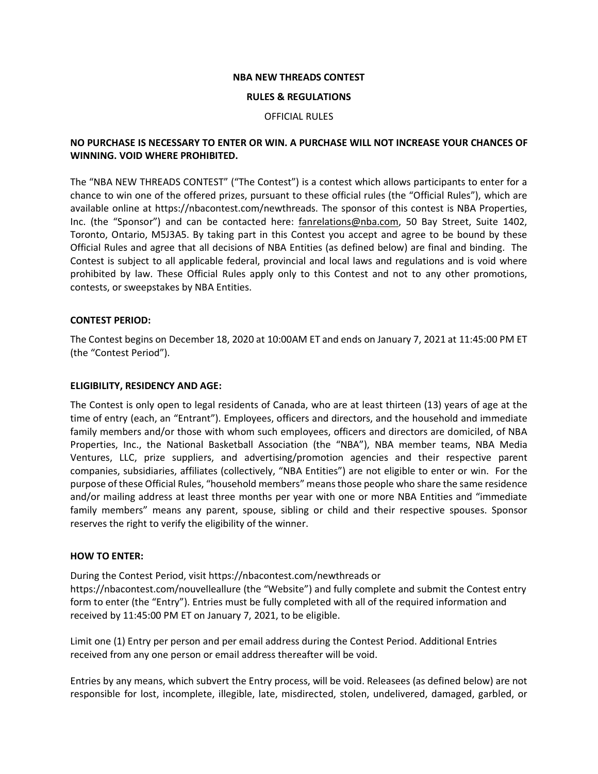#### **NBA NEW THREADS CONTEST**

#### **RULES & REGULATIONS**

#### OFFICIAL RULES

# **NO PURCHASE IS NECESSARY TO ENTER OR WIN. A PURCHASE WILL NOT INCREASE YOUR CHANCES OF WINNING. VOID WHERE PROHIBITED.**

The "NBA NEW THREADS CONTEST" ("The Contest") is a contest which allows participants to enter for a chance to win one of the offered prizes, pursuant to these official rules (the "Official Rules"), which are available online at https://nbacontest.com/newthreads. The sponsor of this contest is NBA Properties, Inc. (the "Sponsor") and can be contacted here: [fanrelations@nba.com,](mailto:fanrelations@nba.com) 50 Bay Street, Suite 1402, Toronto, Ontario, M5J3A5. By taking part in this Contest you accept and agree to be bound by these Official Rules and agree that all decisions of NBA Entities (as defined below) are final and binding. The Contest is subject to all applicable federal, provincial and local laws and regulations and is void where prohibited by law. These Official Rules apply only to this Contest and not to any other promotions, contests, or sweepstakes by NBA Entities.

### **CONTEST PERIOD:**

The Contest begins on December 18, 2020 at 10:00AM ET and ends on January 7, 2021 at 11:45:00 PM ET (the "Contest Period").

#### **ELIGIBILITY, RESIDENCY AND AGE:**

The Contest is only open to legal residents of Canada, who are at least thirteen (13) years of age at the time of entry (each, an "Entrant"). Employees, officers and directors, and the household and immediate family members and/or those with whom such employees, officers and directors are domiciled, of NBA Properties, Inc., the National Basketball Association (the "NBA"), NBA member teams, NBA Media Ventures, LLC, prize suppliers, and advertising/promotion agencies and their respective parent companies, subsidiaries, affiliates (collectively, "NBA Entities") are not eligible to enter or win. For the purpose of these Official Rules, "household members" meansthose people who share the same residence and/or mailing address at least three months per year with one or more NBA Entities and "immediate family members" means any parent, spouse, sibling or child and their respective spouses. Sponsor reserves the right to verify the eligibility of the winner.

#### **HOW TO ENTER:**

During the Contest Period, visit https://nbacontest.com/newthreads or https://nbacontest.com/nouvelleallure (the "Website") and fully complete and submit the Contest entry form to enter (the "Entry"). Entries must be fully completed with all of the required information and received by 11:45:00 PM ET on January 7, 2021, to be eligible.

Limit one (1) Entry per person and per email address during the Contest Period. Additional Entries received from any one person or email address thereafter will be void.

Entries by any means, which subvert the Entry process, will be void. Releasees (as defined below) are not responsible for lost, incomplete, illegible, late, misdirected, stolen, undelivered, damaged, garbled, or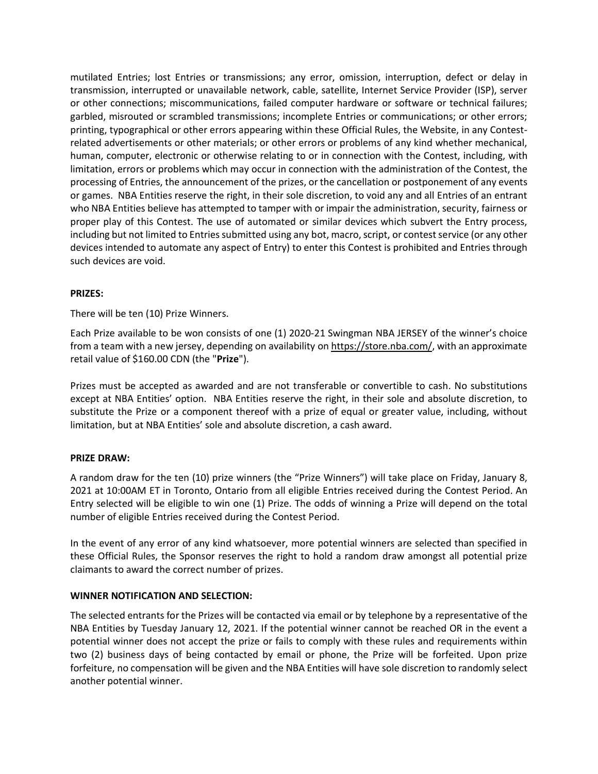mutilated Entries; lost Entries or transmissions; any error, omission, interruption, defect or delay in transmission, interrupted or unavailable network, cable, satellite, Internet Service Provider (ISP), server or other connections; miscommunications, failed computer hardware or software or technical failures; garbled, misrouted or scrambled transmissions; incomplete Entries or communications; or other errors; printing, typographical or other errors appearing within these Official Rules, the Website, in any Contestrelated advertisements or other materials; or other errors or problems of any kind whether mechanical, human, computer, electronic or otherwise relating to or in connection with the Contest, including, with limitation, errors or problems which may occur in connection with the administration of the Contest, the processing of Entries, the announcement of the prizes, orthe cancellation or postponement of any events or games. NBA Entities reserve the right, in their sole discretion, to void any and all Entries of an entrant who NBA Entities believe has attempted to tamper with or impair the administration, security, fairness or proper play of this Contest. The use of automated or similar devices which subvert the Entry process, including but not limited to Entries submitted using any bot, macro, script, or contest service (or any other devices intended to automate any aspect of Entry) to enter this Contest is prohibited and Entries through such devices are void.

# **PRIZES:**

There will be ten (10) Prize Winners.

Each Prize available to be won consists of one (1) 2020-21 Swingman NBA JERSEY of the winner's choice from a team with a new jersey, depending on availability on [https://store.nba.com/,](https://store.nba.com/) with an approximate retail value of \$160.00 CDN (the "**Prize**").

Prizes must be accepted as awarded and are not transferable or convertible to cash. No substitutions except at NBA Entities' option. NBA Entities reserve the right, in their sole and absolute discretion, to substitute the Prize or a component thereof with a prize of equal or greater value, including, without limitation, but at NBA Entities' sole and absolute discretion, a cash award.

# **PRIZE DRAW:**

A random draw for the ten (10) prize winners (the "Prize Winners") will take place on Friday, January 8, 2021 at 10:00AM ET in Toronto, Ontario from all eligible Entries received during the Contest Period. An Entry selected will be eligible to win one (1) Prize. The odds of winning a Prize will depend on the total number of eligible Entries received during the Contest Period.

In the event of any error of any kind whatsoever, more potential winners are selected than specified in these Official Rules, the Sponsor reserves the right to hold a random draw amongst all potential prize claimants to award the correct number of prizes.

# **WINNER NOTIFICATION AND SELECTION:**

The selected entrants for the Prizes will be contacted via email or by telephone by a representative of the NBA Entities by Tuesday January 12, 2021. If the potential winner cannot be reached OR in the event a potential winner does not accept the prize or fails to comply with these rules and requirements within two (2) business days of being contacted by email or phone, the Prize will be forfeited. Upon prize forfeiture, no compensation will be given and the NBA Entities will have sole discretion to randomly select another potential winner.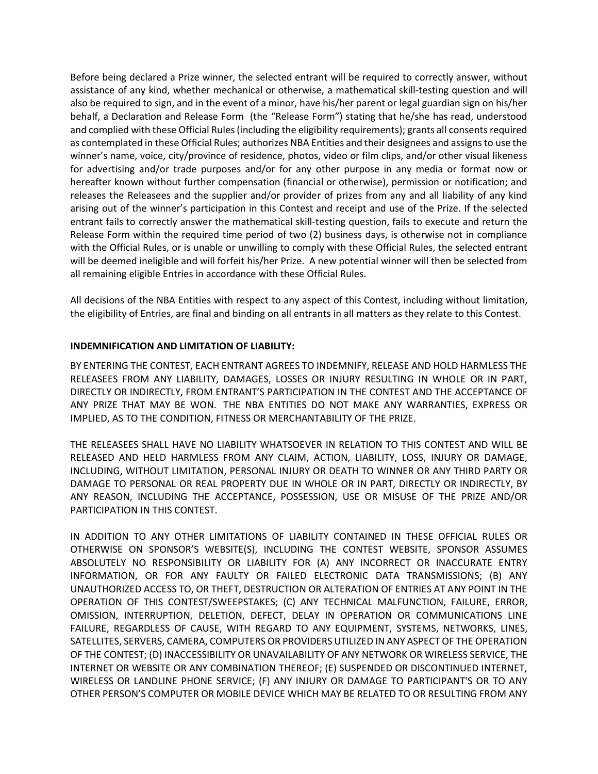Before being declared a Prize winner, the selected entrant will be required to correctly answer, without assistance of any kind, whether mechanical or otherwise, a mathematical skill-testing question and will also be required to sign, and in the event of a minor, have his/her parent or legal guardian sign on his/her behalf, a Declaration and Release Form (the "Release Form") stating that he/she has read, understood and complied with these Official Rules(including the eligibility requirements); grants all consents required as contemplated in these Official Rules; authorizes NBA Entities and their designees and assignsto use the winner's name, voice, city/province of residence, photos, video or film clips, and/or other visual likeness for advertising and/or trade purposes and/or for any other purpose in any media or format now or hereafter known without further compensation (financial or otherwise), permission or notification; and releases the Releasees and the supplier and/or provider of prizes from any and all liability of any kind arising out of the winner's participation in this Contest and receipt and use of the Prize. If the selected entrant fails to correctly answer the mathematical skill-testing question, fails to execute and return the Release Form within the required time period of two (2) business days, is otherwise not in compliance with the Official Rules, or is unable or unwilling to comply with these Official Rules, the selected entrant will be deemed ineligible and will forfeit his/her Prize. A new potential winner will then be selected from all remaining eligible Entries in accordance with these Official Rules.

All decisions of the NBA Entities with respect to any aspect of this Contest, including without limitation, the eligibility of Entries, are final and binding on all entrants in all matters as they relate to this Contest.

# **INDEMNIFICATION AND LIMITATION OF LIABILITY:**

BY ENTERING THE CONTEST, EACH ENTRANT AGREES TO INDEMNIFY, RELEASE AND HOLD HARMLESS THE RELEASEES FROM ANY LIABILITY, DAMAGES, LOSSES OR INJURY RESULTING IN WHOLE OR IN PART, DIRECTLY OR INDIRECTLY, FROM ENTRANT'S PARTICIPATION IN THE CONTEST AND THE ACCEPTANCE OF ANY PRIZE THAT MAY BE WON. THE NBA ENTITIES DO NOT MAKE ANY WARRANTIES, EXPRESS OR IMPLIED, AS TO THE CONDITION, FITNESS OR MERCHANTABILITY OF THE PRIZE.

THE RELEASEES SHALL HAVE NO LIABILITY WHATSOEVER IN RELATION TO THIS CONTEST AND WILL BE RELEASED AND HELD HARMLESS FROM ANY CLAIM, ACTION, LIABILITY, LOSS, INJURY OR DAMAGE, INCLUDING, WITHOUT LIMITATION, PERSONAL INJURY OR DEATH TO WINNER OR ANY THIRD PARTY OR DAMAGE TO PERSONAL OR REAL PROPERTY DUE IN WHOLE OR IN PART, DIRECTLY OR INDIRECTLY, BY ANY REASON, INCLUDING THE ACCEPTANCE, POSSESSION, USE OR MISUSE OF THE PRIZE AND/OR PARTICIPATION IN THIS CONTEST.

IN ADDITION TO ANY OTHER LIMITATIONS OF LIABILITY CONTAINED IN THESE OFFICIAL RULES OR OTHERWISE ON SPONSOR'S WEBSITE(S), INCLUDING THE CONTEST WEBSITE, SPONSOR ASSUMES ABSOLUTELY NO RESPONSIBILITY OR LIABILITY FOR (A) ANY INCORRECT OR INACCURATE ENTRY INFORMATION, OR FOR ANY FAULTY OR FAILED ELECTRONIC DATA TRANSMISSIONS; (B) ANY UNAUTHORIZED ACCESS TO, OR THEFT, DESTRUCTION OR ALTERATION OF ENTRIES AT ANY POINT IN THE OPERATION OF THIS CONTEST/SWEEPSTAKES; (C) ANY TECHNICAL MALFUNCTION, FAILURE, ERROR, OMISSION, INTERRUPTION, DELETION, DEFECT, DELAY IN OPERATION OR COMMUNICATIONS LINE FAILURE, REGARDLESS OF CAUSE, WITH REGARD TO ANY EQUIPMENT, SYSTEMS, NETWORKS, LINES, SATELLITES, SERVERS, CAMERA, COMPUTERS OR PROVIDERS UTILIZED IN ANY ASPECT OF THE OPERATION OF THE CONTEST; (D) INACCESSIBILITY OR UNAVAILABILITY OF ANY NETWORK OR WIRELESS SERVICE, THE INTERNET OR WEBSITE OR ANY COMBINATION THEREOF; (E) SUSPENDED OR DISCONTINUED INTERNET, WIRELESS OR LANDLINE PHONE SERVICE; (F) ANY INJURY OR DAMAGE TO PARTICIPANT'S OR TO ANY OTHER PERSON'S COMPUTER OR MOBILE DEVICE WHICH MAY BE RELATED TO OR RESULTING FROM ANY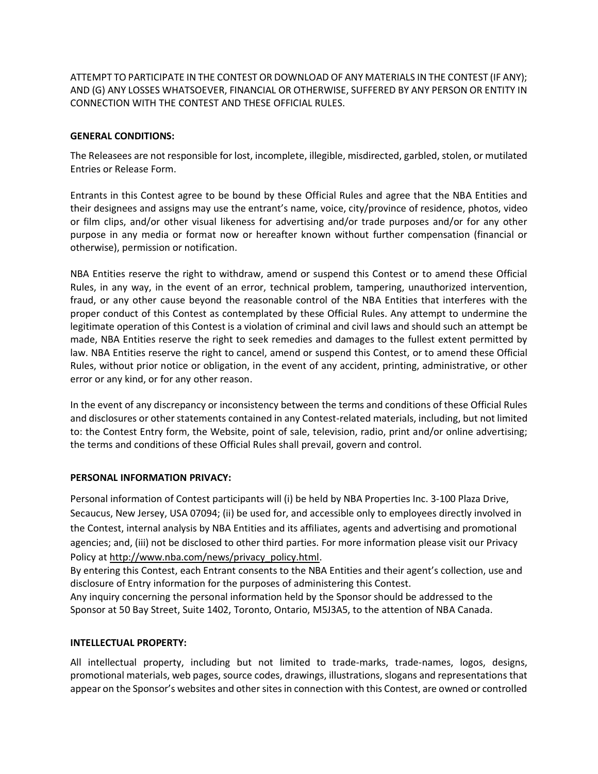ATTEMPT TO PARTICIPATE IN THE CONTEST OR DOWNLOAD OF ANY MATERIALS IN THE CONTEST (IF ANY); AND (G) ANY LOSSES WHATSOEVER, FINANCIAL OR OTHERWISE, SUFFERED BY ANY PERSON OR ENTITY IN CONNECTION WITH THE CONTEST AND THESE OFFICIAL RULES.

# **GENERAL CONDITIONS:**

The Releasees are not responsible for lost, incomplete, illegible, misdirected, garbled, stolen, or mutilated Entries or Release Form.

Entrants in this Contest agree to be bound by these Official Rules and agree that the NBA Entities and their designees and assigns may use the entrant's name, voice, city/province of residence, photos, video or film clips, and/or other visual likeness for advertising and/or trade purposes and/or for any other purpose in any media or format now or hereafter known without further compensation (financial or otherwise), permission or notification.

NBA Entities reserve the right to withdraw, amend or suspend this Contest or to amend these Official Rules, in any way, in the event of an error, technical problem, tampering, unauthorized intervention, fraud, or any other cause beyond the reasonable control of the NBA Entities that interferes with the proper conduct of this Contest as contemplated by these Official Rules. Any attempt to undermine the legitimate operation of this Contest is a violation of criminal and civil laws and should such an attempt be made, NBA Entities reserve the right to seek remedies and damages to the fullest extent permitted by law. NBA Entities reserve the right to cancel, amend or suspend this Contest, or to amend these Official Rules, without prior notice or obligation, in the event of any accident, printing, administrative, or other error or any kind, or for any other reason.

In the event of any discrepancy or inconsistency between the terms and conditions of these Official Rules and disclosures or other statements contained in any Contest-related materials, including, but not limited to: the Contest Entry form, the Website, point of sale, television, radio, print and/or online advertising; the terms and conditions of these Official Rules shall prevail, govern and control.

# **PERSONAL INFORMATION PRIVACY:**

Personal information of Contest participants will (i) be held by NBA Properties Inc. 3-100 Plaza Drive, Secaucus, New Jersey, USA 07094; (ii) be used for, and accessible only to employees directly involved in the Contest, internal analysis by NBA Entities and its affiliates, agents and advertising and promotional agencies; and, (iii) not be disclosed to other third parties. For more information please visit our Privacy Policy at [http://www.nba.com/news/privacy\\_policy.html.](http://www.nba.com/news/privacy_policy.html)

By entering this Contest, each Entrant consents to the NBA Entities and their agent's collection, use and disclosure of Entry information for the purposes of administering this Contest.

Any inquiry concerning the personal information held by the Sponsor should be addressed to the Sponsor at 50 Bay Street, Suite 1402, Toronto, Ontario, M5J3A5, to the attention of NBA Canada.

# **INTELLECTUAL PROPERTY:**

All intellectual property, including but not limited to trade-marks, trade-names, logos, designs, promotional materials, web pages, source codes, drawings, illustrations, slogans and representations that appear on the Sponsor's websites and other sites in connection with this Contest, are owned or controlled